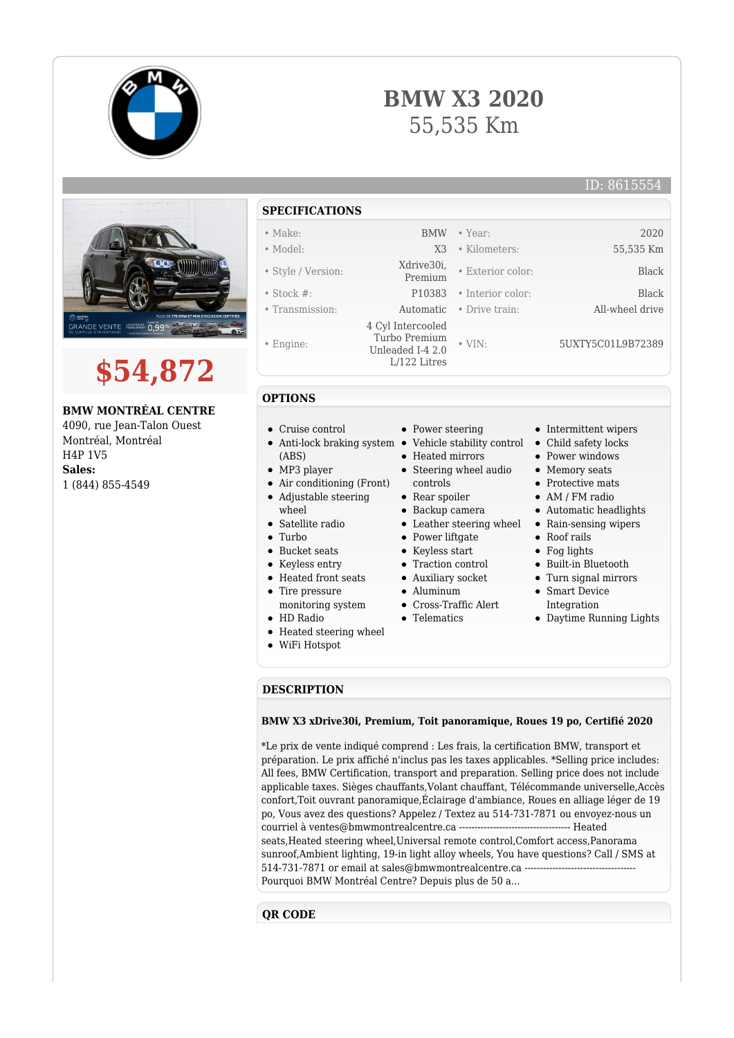

**\$54,872**

 $0,99$ 

**BMW MONTRÉAL CENTRE** 4090, rue Jean-Talon Ouest Montréal, Montréal

H4P 1V5 **Sales:**

**GRANDE VENTE** 

1 (844) 855-4549



## **SPECIFICATIONS**

- 
- Style / Version: Xdrive30i,
- Stock #: P10383 Interior color: Black
- 
- Engine:
- 
- **OPTIONS**
- Cruise control
- Anti-lock braking system Vehicle stability control Child safety locks
- (ABS)
- MP3 player
- Air conditioning (Front) Adjustable steering
- wheel
- Satellite radio
- Turbo
- Bucket seats
- Keyless entry
- Heated front seats
- Tire pressure
- monitoring system
- HD Radio
- Heated steering wheel
- WiFi Hotspot
- 
- Heated mirrors

• Power steering

- 
- Steering wheel audio
- controls Rear spoiler
- Backup camera
- 
- Power liftgate
- Keyless start
- Traction control
- Auxiliary socket
- 
- Aluminum
- Cross-Traffic Alert
- Telematics
- Intermittent wipers
- 
- Power windows
- Memory seats
- Protective mats
- AM / FM radio
- Automatic headlights
- Leather steering wheel Rain-sensing wipers
	- Roof rails
	- Fog lights
	- Built-in Bluetooth
	- Turn signal mirrors
	- Smart Device Integration
	- Daytime Running Lights

## **DESCRIPTION**

## **BMW X3 xDrive30i, Premium, Toit panoramique, Roues 19 po, Certifié 2020**

\*Le prix de vente indiqué comprend : Les frais, la certification BMW, transport et préparation. Le prix affiché n'inclus pas les taxes applicables. \*Selling price includes: All fees, BMW Certification, transport and preparation. Selling price does not include applicable taxes. Sièges chauffants,Volant chauffant, Télécommande universelle,Accès confort,Toit ouvrant panoramique,Éclairage d'ambiance, Roues en alliage léger de 19 po, Vous avez des questions? Appelez / Textez au 514-731-7871 ou envoyez-nous un courriel à ventes@bmwmontrealcentre.ca ------------------------------------ Heated seats,Heated steering wheel,Universal remote control,Comfort access,Panorama sunroof,Ambient lighting, 19-in light alloy wheels, You have questions? Call / SMS at 514-731-7871 or email at sales@bmwmontrealcentre.ca ------------------------------------ Pourquoi BMW Montréal Centre? Depuis plus de 50 a...

## **QR CODE**

- 
- 
- 
- 
- 

 4 Cyl Intercooled Turbo Premium Unleaded I-4 2.0 L/122 Litres

• Transmission: Automatic • Drive train: All-wheel drive

**BMW X3 2020**

55,535 Km

• Make: BMW • Year: 2020

• VIN: 5UXTY5C01L9B72389

• Exterior color: Black

ID: 8615554